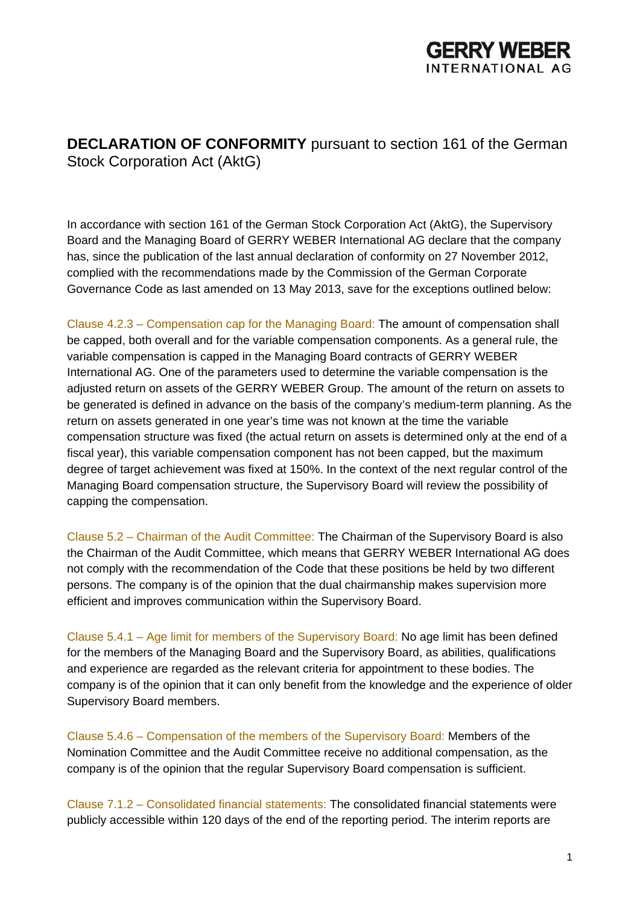

**DECLARATION OF CONFORMITY** pursuant to section 161 of the German Stock Corporation Act (AktG)

In accordance with section 161 of the German Stock Corporation Act (AktG), the Supervisory Board and the Managing Board of GERRY WEBER International AG declare that the company has, since the publication of the last annual declaration of conformity on 27 November 2012, complied with the recommendations made by the Commission of the German Corporate Governance Code as last amended on 13 May 2013, save for the exceptions outlined below:

Clause 4.2.3 – Compensation cap for the Managing Board: The amount of compensation shall be capped, both overall and for the variable compensation components. As a general rule, the variable compensation is capped in the Managing Board contracts of GERRY WEBER International AG. One of the parameters used to determine the variable compensation is the adjusted return on assets of the GERRY WEBER Group. The amount of the return on assets to be generated is defined in advance on the basis of the company's medium-term planning. As the return on assets generated in one year's time was not known at the time the variable compensation structure was fixed (the actual return on assets is determined only at the end of a fiscal year), this variable compensation component has not been capped, but the maximum degree of target achievement was fixed at 150%. In the context of the next regular control of the Managing Board compensation structure, the Supervisory Board will review the possibility of capping the compensation.

Clause 5.2 – Chairman of the Audit Committee: The Chairman of the Supervisory Board is also the Chairman of the Audit Committee, which means that GERRY WEBER International AG does not comply with the recommendation of the Code that these positions be held by two different persons. The company is of the opinion that the dual chairmanship makes supervision more efficient and improves communication within the Supervisory Board.

Clause 5.4.1 – Age limit for members of the Supervisory Board: No age limit has been defined for the members of the Managing Board and the Supervisory Board, as abilities, qualifications and experience are regarded as the relevant criteria for appointment to these bodies. The company is of the opinion that it can only benefit from the knowledge and the experience of older Supervisory Board members.

Clause 5.4.6 – Compensation of the members of the Supervisory Board: Members of the Nomination Committee and the Audit Committee receive no additional compensation, as the company is of the opinion that the regular Supervisory Board compensation is sufficient.

Clause 7.1.2 – Consolidated financial statements: The consolidated financial statements were publicly accessible within 120 days of the end of the reporting period. The interim reports are